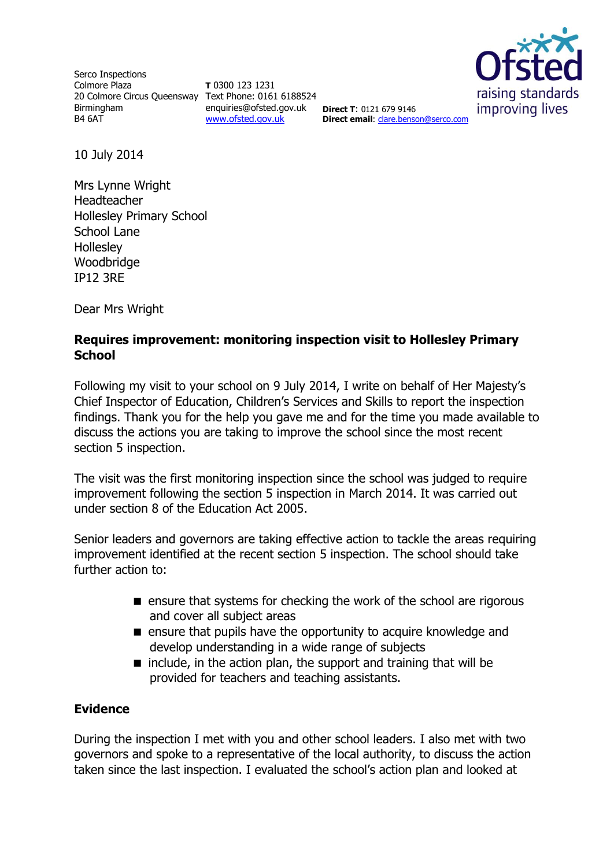Serco Inspections Colmore Plaza 20 Colmore Circus Queensway Text Phone: 0161 6188524 Birmingham B4 6AT

**T** 0300 123 1231 enquiries@ofsted.gov.uk **Direct T**: 0121 679 9146 [www.ofsted.gov.uk](http://www.ofsted.gov.uk/)



**Direct email**: [clare.benson@serco.com](mailto:clare.benson@serco.com)

10 July 2014

Mrs Lynne Wright Headteacher Hollesley Primary School School Lane **Holleslev** Woodbridge IP12 3RE

Dear Mrs Wright

## **Requires improvement: monitoring inspection visit to Hollesley Primary School**

Following my visit to your school on 9 July 2014, I write on behalf of Her Majesty's Chief Inspector of Education, Children's Services and Skills to report the inspection findings. Thank you for the help you gave me and for the time you made available to discuss the actions you are taking to improve the school since the most recent section 5 inspection.

The visit was the first monitoring inspection since the school was judged to require improvement following the section 5 inspection in March 2014. It was carried out under section 8 of the Education Act 2005.

Senior leaders and governors are taking effective action to tackle the areas requiring improvement identified at the recent section 5 inspection. The school should take further action to:

- **E** ensure that systems for checking the work of the school are rigorous and cover all subject areas
- **E** ensure that pupils have the opportunity to acquire knowledge and develop understanding in a wide range of subjects
- $\blacksquare$  include, in the action plan, the support and training that will be provided for teachers and teaching assistants.

## **Evidence**

During the inspection I met with you and other school leaders. I also met with two governors and spoke to a representative of the local authority, to discuss the action taken since the last inspection. I evaluated the school's action plan and looked at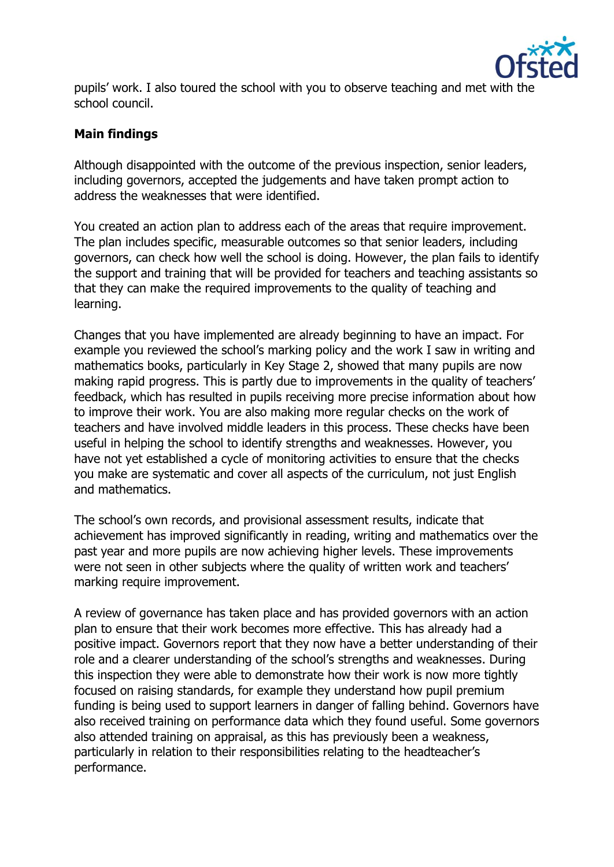

pupils' work. I also toured the school with you to observe teaching and met with the school council.

## **Main findings**

Although disappointed with the outcome of the previous inspection, senior leaders, including governors, accepted the judgements and have taken prompt action to address the weaknesses that were identified.

You created an action plan to address each of the areas that require improvement. The plan includes specific, measurable outcomes so that senior leaders, including governors, can check how well the school is doing. However, the plan fails to identify the support and training that will be provided for teachers and teaching assistants so that they can make the required improvements to the quality of teaching and learning.

Changes that you have implemented are already beginning to have an impact. For example you reviewed the school's marking policy and the work I saw in writing and mathematics books, particularly in Key Stage 2, showed that many pupils are now making rapid progress. This is partly due to improvements in the quality of teachers' feedback, which has resulted in pupils receiving more precise information about how to improve their work. You are also making more regular checks on the work of teachers and have involved middle leaders in this process. These checks have been useful in helping the school to identify strengths and weaknesses. However, you have not yet established a cycle of monitoring activities to ensure that the checks you make are systematic and cover all aspects of the curriculum, not just English and mathematics.

The school's own records, and provisional assessment results, indicate that achievement has improved significantly in reading, writing and mathematics over the past year and more pupils are now achieving higher levels. These improvements were not seen in other subjects where the quality of written work and teachers' marking require improvement.

A review of governance has taken place and has provided governors with an action plan to ensure that their work becomes more effective. This has already had a positive impact. Governors report that they now have a better understanding of their role and a clearer understanding of the school's strengths and weaknesses. During this inspection they were able to demonstrate how their work is now more tightly focused on raising standards, for example they understand how pupil premium funding is being used to support learners in danger of falling behind. Governors have also received training on performance data which they found useful. Some governors also attended training on appraisal, as this has previously been a weakness, particularly in relation to their responsibilities relating to the headteacher's performance.